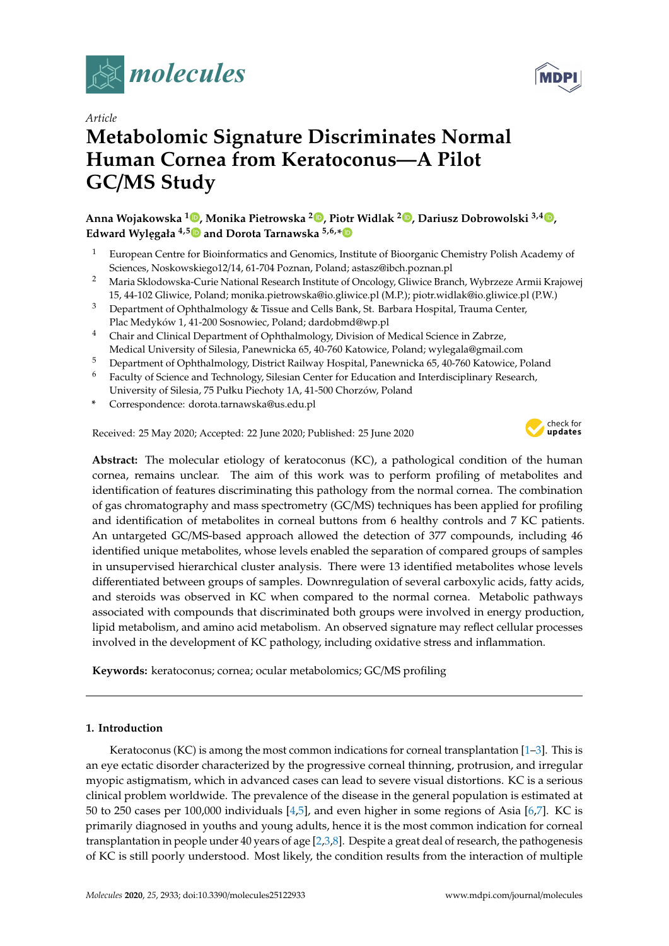



# *Article* **Metabolomic Signature Discriminates Normal Human Cornea from Keratoconus—A Pilot GC**/**MS Study**

**Anna Wojakowska <sup>1</sup> [,](https://orcid.org/0000-0002-4541-1239) Monika Pietrowska <sup>2</sup> [,](https://orcid.org/0000-0001-9317-7822) Piotr Widlak <sup>2</sup> [,](https://orcid.org/0000-0001-5099-4726) Dariusz Dobrowolski 3,4 [,](https://orcid.org/0000-0002-8768-1691) Edward Wylegała** <sup>4,[5](https://orcid.org/0000-0001-5950-2425)</sup> $\bullet$  and Dorota Tarnawska <sup>5,6,[\\*](https://orcid.org/0000-0002-0520-9589)</sup> $\bullet$ 

- <sup>1</sup> European Centre for Bioinformatics and Genomics, Institute of Bioorganic Chemistry Polish Academy of Sciences, Noskowskiego12/14, 61-704 Poznan, Poland; astasz@ibch.poznan.pl
- <sup>2</sup> Maria Sklodowska-Curie National Research Institute of Oncology, Gliwice Branch, Wybrzeze Armii Krajowej 15, 44-102 Gliwice, Poland; monika.pietrowska@io.gliwice.pl (M.P.); piotr.widlak@io.gliwice.pl (P.W.)
- <sup>3</sup> Department of Ophthalmology & Tissue and Cells Bank, St. Barbara Hospital, Trauma Center, Plac Medyków 1, 41-200 Sosnowiec, Poland; dardobmd@wp.pl
- <sup>4</sup> Chair and Clinical Department of Ophthalmology, Division of Medical Science in Zabrze, Medical University of Silesia, Panewnicka 65, 40-760 Katowice, Poland; wylegala@gmail.com
- <sup>5</sup> Department of Ophthalmology, District Railway Hospital, Panewnicka 65, 40-760 Katowice, Poland
- <sup>6</sup> Faculty of Science and Technology, Silesian Center for Education and Interdisciplinary Research, University of Silesia, 75 Pułku Piechoty 1A, 41-500 Chorzów, Poland
- **\*** Correspondence: dorota.tarnawska@us.edu.pl

Received: 25 May 2020; Accepted: 22 June 2020; Published: 25 June 2020



**Abstract:** The molecular etiology of keratoconus (KC), a pathological condition of the human cornea, remains unclear. The aim of this work was to perform profiling of metabolites and identification of features discriminating this pathology from the normal cornea. The combination of gas chromatography and mass spectrometry (GC/MS) techniques has been applied for profiling and identification of metabolites in corneal buttons from 6 healthy controls and 7 KC patients. An untargeted GC/MS-based approach allowed the detection of 377 compounds, including 46 identified unique metabolites, whose levels enabled the separation of compared groups of samples in unsupervised hierarchical cluster analysis. There were 13 identified metabolites whose levels differentiated between groups of samples. Downregulation of several carboxylic acids, fatty acids, and steroids was observed in KC when compared to the normal cornea. Metabolic pathways associated with compounds that discriminated both groups were involved in energy production, lipid metabolism, and amino acid metabolism. An observed signature may reflect cellular processes involved in the development of KC pathology, including oxidative stress and inflammation.

**Keywords:** keratoconus; cornea; ocular metabolomics; GC/MS profiling

## **1. Introduction**

Keratoconus (KC) is among the most common indications for corneal transplantation  $[1-3]$  $[1-3]$ . This is an eye ectatic disorder characterized by the progressive corneal thinning, protrusion, and irregular myopic astigmatism, which in advanced cases can lead to severe visual distortions. KC is a serious clinical problem worldwide. The prevalence of the disease in the general population is estimated at 50 to 250 cases per 100,000 individuals [\[4,](#page-7-2)[5\]](#page-7-3), and even higher in some regions of Asia [\[6,](#page-7-4)[7\]](#page-7-5). KC is primarily diagnosed in youths and young adults, hence it is the most common indication for corneal transplantation in people under 40 years of age [\[2](#page-7-6)[,3](#page-7-1)[,8\]](#page-7-7). Despite a great deal of research, the pathogenesis of KC is still poorly understood. Most likely, the condition results from the interaction of multiple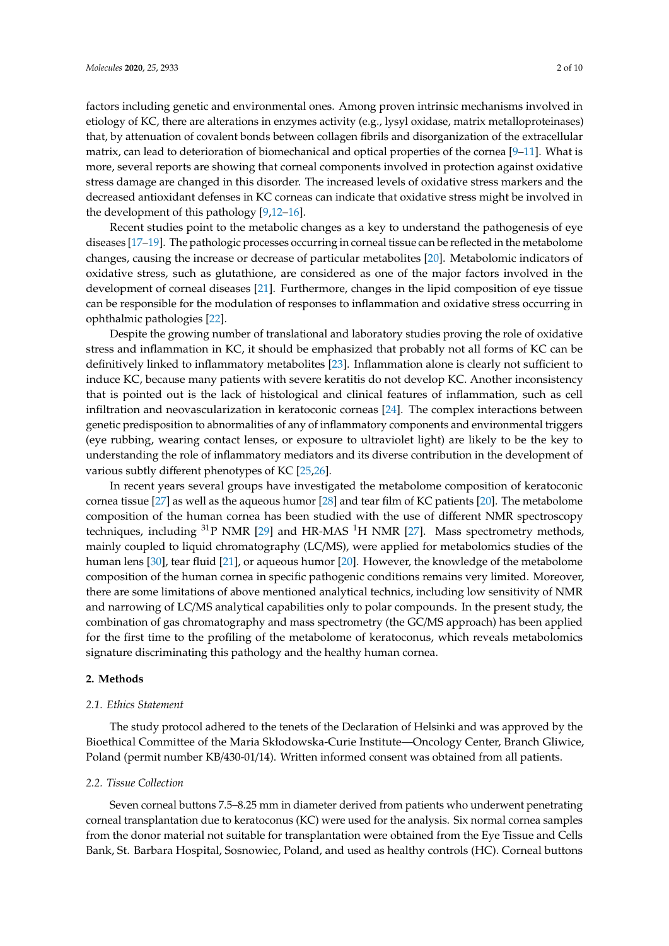factors including genetic and environmental ones. Among proven intrinsic mechanisms involved in etiology of KC, there are alterations in enzymes activity (e.g., lysyl oxidase, matrix metalloproteinases) that, by attenuation of covalent bonds between collagen fibrils and disorganization of the extracellular matrix, can lead to deterioration of biomechanical and optical properties of the cornea [\[9](#page-7-8)[–11\]](#page-8-0). What is more, several reports are showing that corneal components involved in protection against oxidative stress damage are changed in this disorder. The increased levels of oxidative stress markers and the decreased antioxidant defenses in KC corneas can indicate that oxidative stress might be involved in the development of this pathology [\[9,](#page-7-8)[12–](#page-8-1)[16\]](#page-8-2).

Recent studies point to the metabolic changes as a key to understand the pathogenesis of eye diseases [\[17–](#page-8-3)[19\]](#page-8-4). The pathologic processes occurring in corneal tissue can be reflected in the metabolome changes, causing the increase or decrease of particular metabolites [\[20\]](#page-8-5). Metabolomic indicators of oxidative stress, such as glutathione, are considered as one of the major factors involved in the development of corneal diseases [\[21\]](#page-8-6). Furthermore, changes in the lipid composition of eye tissue can be responsible for the modulation of responses to inflammation and oxidative stress occurring in ophthalmic pathologies [\[22\]](#page-8-7).

Despite the growing number of translational and laboratory studies proving the role of oxidative stress and inflammation in KC, it should be emphasized that probably not all forms of KC can be definitively linked to inflammatory metabolites [\[23\]](#page-8-8). Inflammation alone is clearly not sufficient to induce KC, because many patients with severe keratitis do not develop KC. Another inconsistency that is pointed out is the lack of histological and clinical features of inflammation, such as cell infiltration and neovascularization in keratoconic corneas [\[24\]](#page-8-9). The complex interactions between genetic predisposition to abnormalities of any of inflammatory components and environmental triggers (eye rubbing, wearing contact lenses, or exposure to ultraviolet light) are likely to be the key to understanding the role of inflammatory mediators and its diverse contribution in the development of various subtly different phenotypes of KC [\[25,](#page-8-10)[26\]](#page-8-11).

In recent years several groups have investigated the metabolome composition of keratoconic cornea tissue [\[27\]](#page-8-12) as well as the aqueous humor [\[28\]](#page-8-13) and tear film of KC patients [\[20\]](#page-8-5). The metabolome composition of the human cornea has been studied with the use of different NMR spectroscopy techniques, including  $31P$  NMR [\[29\]](#page-8-14) and HR-MAS  $1H$  NMR [\[27\]](#page-8-12). Mass spectrometry methods, mainly coupled to liquid chromatography (LC/MS), were applied for metabolomics studies of the human lens [\[30\]](#page-8-15), tear fluid [\[21\]](#page-8-6), or aqueous humor [\[20\]](#page-8-5). However, the knowledge of the metabolome composition of the human cornea in specific pathogenic conditions remains very limited. Moreover, there are some limitations of above mentioned analytical technics, including low sensitivity of NMR and narrowing of LC/MS analytical capabilities only to polar compounds. In the present study, the combination of gas chromatography and mass spectrometry (the GC/MS approach) has been applied for the first time to the profiling of the metabolome of keratoconus, which reveals metabolomics signature discriminating this pathology and the healthy human cornea.

## **2. Methods**

## *2.1. Ethics Statement*

The study protocol adhered to the tenets of the Declaration of Helsinki and was approved by the Bioethical Committee of the Maria Skłodowska-Curie Institute—Oncology Center, Branch Gliwice, Poland (permit number KB/430-01/14). Written informed consent was obtained from all patients.

#### *2.2. Tissue Collection*

Seven corneal buttons 7.5–8.25 mm in diameter derived from patients who underwent penetrating corneal transplantation due to keratoconus (KC) were used for the analysis. Six normal cornea samples from the donor material not suitable for transplantation were obtained from the Eye Tissue and Cells Bank, St. Barbara Hospital, Sosnowiec, Poland, and used as healthy controls (HC). Corneal buttons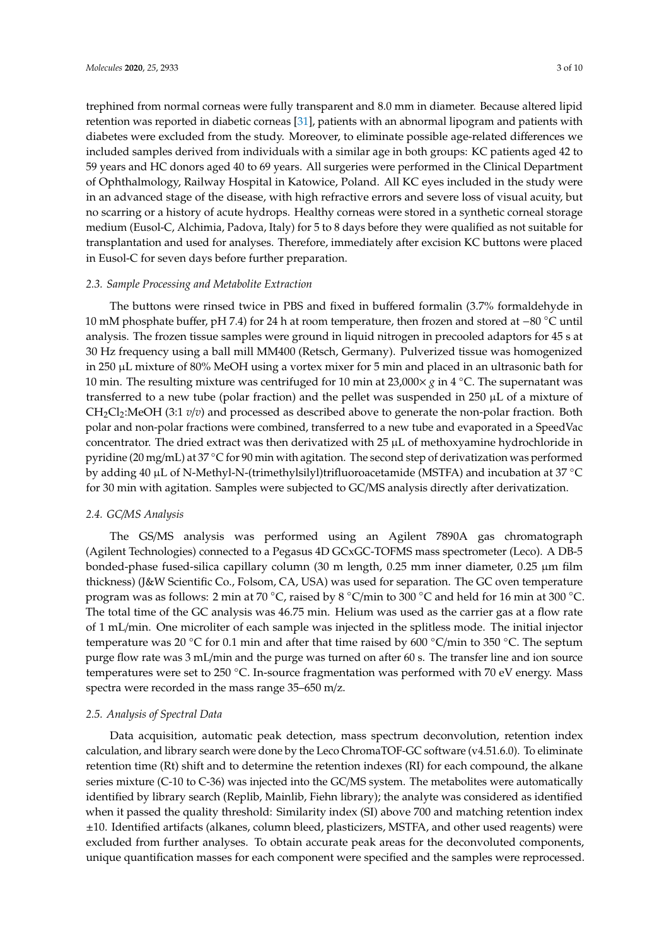trephined from normal corneas were fully transparent and 8.0 mm in diameter. Because altered lipid retention was reported in diabetic corneas [\[31\]](#page-8-16), patients with an abnormal lipogram and patients with diabetes were excluded from the study. Moreover, to eliminate possible age-related differences we included samples derived from individuals with a similar age in both groups: KC patients aged 42 to 59 years and HC donors aged 40 to 69 years. All surgeries were performed in the Clinical Department of Ophthalmology, Railway Hospital in Katowice, Poland. All KC eyes included in the study were in an advanced stage of the disease, with high refractive errors and severe loss of visual acuity, but no scarring or a history of acute hydrops. Healthy corneas were stored in a synthetic corneal storage medium (Eusol-C, Alchimia, Padova, Italy) for 5 to 8 days before they were qualified as not suitable for transplantation and used for analyses. Therefore, immediately after excision KC buttons were placed in Eusol-C for seven days before further preparation.

#### *2.3. Sample Processing and Metabolite Extraction*

The buttons were rinsed twice in PBS and fixed in buffered formalin (3.7% formaldehyde in 10 mM phosphate buffer, pH 7.4) for 24 h at room temperature, then frozen and stored at −80 ◦C until analysis. The frozen tissue samples were ground in liquid nitrogen in precooled adaptors for 45 s at 30 Hz frequency using a ball mill MM400 (Retsch, Germany). Pulverized tissue was homogenized in 250 µL mixture of 80% MeOH using a vortex mixer for 5 min and placed in an ultrasonic bath for 10 min. The resulting mixture was centrifuged for 10 min at 23,000× *g* in 4 ◦C. The supernatant was transferred to a new tube (polar fraction) and the pellet was suspended in 250  $\mu$ L of a mixture of CH<sub>2</sub>Cl<sub>2</sub>:MeOH (3:1 *v*/*v*) and processed as described above to generate the non-polar fraction. Both polar and non-polar fractions were combined, transferred to a new tube and evaporated in a SpeedVac concentrator. The dried extract was then derivatized with  $25 \mu L$  of methoxyamine hydrochloride in pyridine (20 mg/mL) at 37 °C for 90 min with agitation. The second step of derivatization was performed by adding 40 µL of N-Methyl-N-(trimethylsilyl)trifluoroacetamide (MSTFA) and incubation at 37 ◦C for 30 min with agitation. Samples were subjected to GC/MS analysis directly after derivatization.

## *2.4. GC*/*MS Analysis*

The GS/MS analysis was performed using an Agilent 7890A gas chromatograph (Agilent Technologies) connected to a Pegasus 4D GCxGC-TOFMS mass spectrometer (Leco). A DB-5 bonded-phase fused-silica capillary column (30 m length, 0.25 mm inner diameter, 0.25 µm film thickness) (J&W Scientific Co., Folsom, CA, USA) was used for separation. The GC oven temperature program was as follows: 2 min at 70 ◦C, raised by 8 ◦C/min to 300 ◦C and held for 16 min at 300 ◦C. The total time of the GC analysis was 46.75 min. Helium was used as the carrier gas at a flow rate of 1 mL/min. One microliter of each sample was injected in the splitless mode. The initial injector temperature was 20 °C for 0.1 min and after that time raised by 600 °C/min to 350 °C. The septum purge flow rate was 3 mL/min and the purge was turned on after 60 s. The transfer line and ion source temperatures were set to 250 °C. In-source fragmentation was performed with 70 eV energy. Mass spectra were recorded in the mass range 35–650 m/z.

#### *2.5. Analysis of Spectral Data*

Data acquisition, automatic peak detection, mass spectrum deconvolution, retention index calculation, and library search were done by the Leco ChromaTOF-GC software (v4.51.6.0). To eliminate retention time (Rt) shift and to determine the retention indexes (RI) for each compound, the alkane series mixture (C-10 to C-36) was injected into the GC/MS system. The metabolites were automatically identified by library search (Replib, Mainlib, Fiehn library); the analyte was considered as identified when it passed the quality threshold: Similarity index (SI) above 700 and matching retention index ±10. Identified artifacts (alkanes, column bleed, plasticizers, MSTFA, and other used reagents) were excluded from further analyses. To obtain accurate peak areas for the deconvoluted components, unique quantification masses for each component were specified and the samples were reprocessed.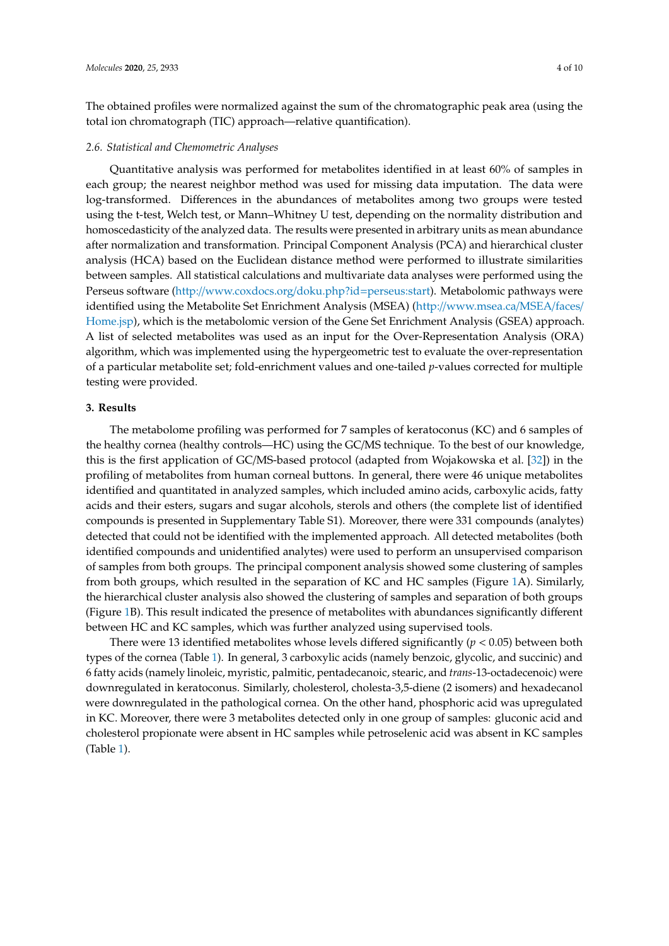The obtained profiles were normalized against the sum of the chromatographic peak area (using the total ion chromatograph (TIC) approach—relative quantification).

## *2.6. Statistical and Chemometric Analyses*

Quantitative analysis was performed for metabolites identified in at least 60% of samples in each group; the nearest neighbor method was used for missing data imputation. The data were log-transformed. Differences in the abundances of metabolites among two groups were tested using the t-test, Welch test, or Mann–Whitney U test, depending on the normality distribution and homoscedasticity of the analyzed data. The results were presented in arbitrary units as mean abundance after normalization and transformation. Principal Component Analysis (PCA) and hierarchical cluster analysis (HCA) based on the Euclidean distance method were performed to illustrate similarities between samples. All statistical calculations and multivariate data analyses were performed using the Perseus software (http://[www.coxdocs.org](http://www.coxdocs.org/doku.php?id=perseus:start)/doku.php?id=perseus:start). Metabolomic pathways were identified using the Metabolite Set Enrichment Analysis (MSEA) (http://[www.msea.ca](http://www.msea.ca/MSEA/faces/Home.jsp)/MSEA/faces/ [Home.jsp\)](http://www.msea.ca/MSEA/faces/Home.jsp), which is the metabolomic version of the Gene Set Enrichment Analysis (GSEA) approach. A list of selected metabolites was used as an input for the Over-Representation Analysis (ORA) algorithm, which was implemented using the hypergeometric test to evaluate the over-representation of a particular metabolite set; fold-enrichment values and one-tailed *p*-values corrected for multiple testing were provided.

#### **3. Results**

The metabolome profiling was performed for 7 samples of keratoconus (KC) and 6 samples of the healthy cornea (healthy controls—HC) using the GC/MS technique. To the best of our knowledge, this is the first application of GC/MS-based protocol (adapted from Wojakowska et al. [\[32\]](#page-9-0)) in the profiling of metabolites from human corneal buttons. In general, there were 46 unique metabolites identified and quantitated in analyzed samples, which included amino acids, carboxylic acids, fatty acids and their esters, sugars and sugar alcohols, sterols and others (the complete list of identified compounds is presented in Supplementary Table S1). Moreover, there were 331 compounds (analytes) detected that could not be identified with the implemented approach. All detected metabolites (both identified compounds and unidentified analytes) were used to perform an unsupervised comparison of samples from both groups. The principal component analysis showed some clustering of samples from both groups, which resulted in the separation of KC and HC samples (Figure [1A](#page-4-0)). Similarly, the hierarchical cluster analysis also showed the clustering of samples and separation of both groups (Figure [1B](#page-4-0)). This result indicated the presence of metabolites with abundances significantly different between HC and KC samples, which was further analyzed using supervised tools.

There were 13 identified metabolites whose levels differed significantly  $(p < 0.05)$  between both types of the cornea (Table [1\)](#page-4-1). In general, 3 carboxylic acids (namely benzoic, glycolic, and succinic) and 6 fatty acids (namely linoleic, myristic, palmitic, pentadecanoic, stearic, and *trans*-13-octadecenoic) were downregulated in keratoconus. Similarly, cholesterol, cholesta-3,5-diene (2 isomers) and hexadecanol were downregulated in the pathological cornea. On the other hand, phosphoric acid was upregulated in KC. Moreover, there were 3 metabolites detected only in one group of samples: gluconic acid and cholesterol propionate were absent in HC samples while petroselenic acid was absent in KC samples (Table [1\)](#page-4-1).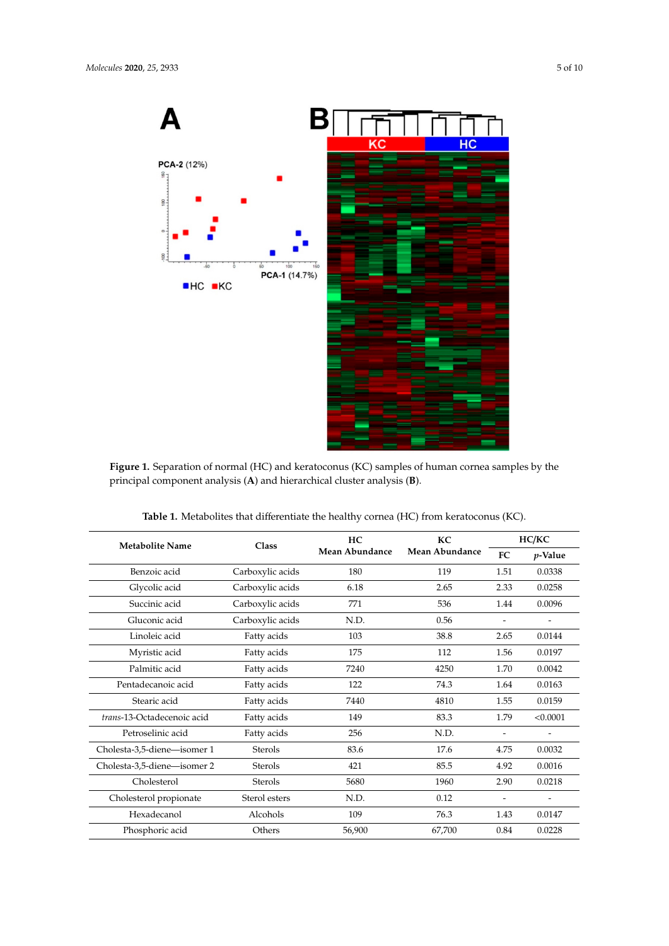<span id="page-4-0"></span>

**Figure 1.** Separation of normal (HC) and keratoconus (KC) samples of human cornea samples by the **Figure 1.** Separation of normal (HC) and keratoconus (KC) samples of human cornea samples by the principal component analysis (**A**) and hierarchical cluster analysis (**B**). principal component analysis (**A**) and hierarchical cluster analysis (**B**).

<span id="page-4-1"></span>

| <b>Metabolite Name</b>      | Class            | HC.<br>Mean Abundance | <b>KC</b><br>Mean Abundance | HC/KC                    |                          |
|-----------------------------|------------------|-----------------------|-----------------------------|--------------------------|--------------------------|
|                             |                  |                       |                             | FC.                      | $p$ -Value               |
| Benzoic acid                | Carboxylic acids | 180                   | 119                         | 1.51                     | 0.0338                   |
| Glycolic acid               | Carboxylic acids | 6.18                  | 2.65                        | 2.33                     | 0.0258                   |
| Succinic acid               | Carboxylic acids | 771                   | 536                         | 1.44                     | 0.0096                   |
| Gluconic acid               | Carboxylic acids | N.D.                  | 0.56                        | $\overline{\phantom{a}}$ | $\overline{\phantom{a}}$ |
| Linoleic acid               | Fatty acids      | 103                   | 38.8                        | 2.65                     | 0.0144                   |
| Myristic acid               | Fatty acids      | 175                   | 112                         | 1.56                     | 0.0197                   |
| Palmitic acid               | Fatty acids      | 7240                  | 4250                        | 1.70                     | 0.0042                   |
| Pentadecanoic acid          | Fatty acids      | 122                   | 74.3                        | 1.64                     | 0.0163                   |
| Stearic acid                | Fatty acids      | 7440                  | 4810                        | 1.55                     | 0.0159                   |
| trans-13-Octadecenoic acid  | Fatty acids      | 149                   | 83.3                        | 1.79                     | < 0.0001                 |
| Petroselinic acid           | Fatty acids      | 256                   | N.D.                        |                          |                          |
| Cholesta-3,5-diene-isomer 1 | <b>Sterols</b>   | 83.6                  | 17.6                        | 4.75                     | 0.0032                   |
| Cholesta-3,5-diene-isomer 2 | <b>Sterols</b>   | 421                   | 85.5                        | 4.92                     | 0.0016                   |
| Cholesterol                 | <b>Sterols</b>   | 5680                  | 1960                        | 2.90                     | 0.0218                   |
| Cholesterol propionate      | Sterol esters    | N.D.                  | 0.12                        |                          |                          |
| Hexadecanol                 | Alcohols         | 109                   | 76.3                        | 1.43                     | 0.0147                   |
| Phosphoric acid             | Others           | 56,900                | 67,700                      | 0.84                     | 0.0228                   |

Table 1. Metabolites that differentiate the healthy cornea (HC) from keratoconus (KC).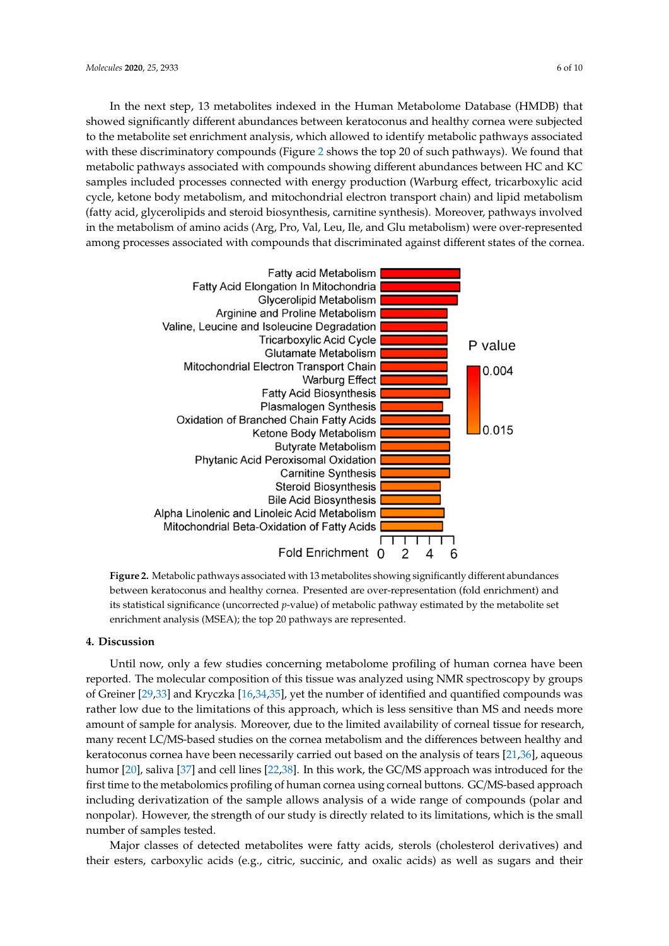In the next step, 13 metabolites indexed in the Human Metabolome Database (HMDB) that showed significantly different abundances between keratoconus and healthy cornea were subjected to the metabolite set enrichment analysis, which allowed to identify metabolic pathways associated with these discriminatory compounds (Figure 2 shows the top 20 of such pathways). We found that metabolic pathways associated with compounds showing different abundances between HC and KC samples included processes connected with energy production (Warburg effect, tricarboxylic acid cycle, ketone body metabolism, and mitochondrial electron transport chain) and lipid metabolism (fatty acid, glycerolipids and steroid biosynthesis, carnitine synthesis). Moreover, pathways involved in the metabolism of amino acids (Arg, Pro, Val, Leu, Ile, and Glu metabolism) were over-represented among processes associated with compounds that discriminated against different states of the cornea. different states of the cornea. In the next step, 13 metabolites i[nd](#page-5-0)exed in the Human Metabolome Database (HMDB) that showed significantly different abundances between keratoconus and healthy cornea were subjected to the metabolite set enrichment analysi

<span id="page-5-0"></span>

**Figure 2.** Metabolic pathways associated with 13 metabolites showing significantly different **Figure 2.** Metabolic pathways associated with 13 metabolites showing significantly different abundances between keratoconus and healthy cornea. Presented are over-representation (fold enrichment) and its statistical significance (uncorrected *p*-value) of metabolic pathway estimated by the metabolite set enrichment analysis (MSEA); the top 20 pathways are represented.

#### **4. Discussion**

reported. The molecular composition of this tissue was analyzed using NMR spectroscopy by groups of Greiner [\[29,](#page-8-14)[33\]](#page-9-1) and Kryczka [\[16](#page-8-2)[,34](#page-9-2)[,35\]](#page-9-3), yet the number of identified and quantified compounds was rather low due to the limitations of this approach, which is less sensitive than MS and needs more amount of sample for analysis. Moreover, due to the limited availability of corneal tissue for research, many recent LC/MS-based studies on the cornea metabolism and the differences between healthy and keratoconus cornea have been necessarily carried out based on the analysis of tears [\[21,](#page-8-6)[36\]](#page-9-4), aqueous humor [\[20\]](#page-8-5), saliva [\[37\]](#page-9-5) and cell lines [\[22](#page-8-7)[,38\]](#page-9-6). In this work, the GC/MS approach was introduced for the first time to the metabolomics profiling of human cornea using corneal buttons. GC/MS-based approach including derivatization of the sample allows analysis of a wide range of compounds (polar and nonpolar). However, the strength of our study is directly related to its limitations, which is the small Until now, only a few studies concerning metabolome profiling of human cornea have been number of samples tested.

Major classes of detected metabolites were fatty acids, sterols (cholesterol derivatives) and their esters, carboxylic acids (e.g., citric, succinic, and oxalic acids) as well as sugars and their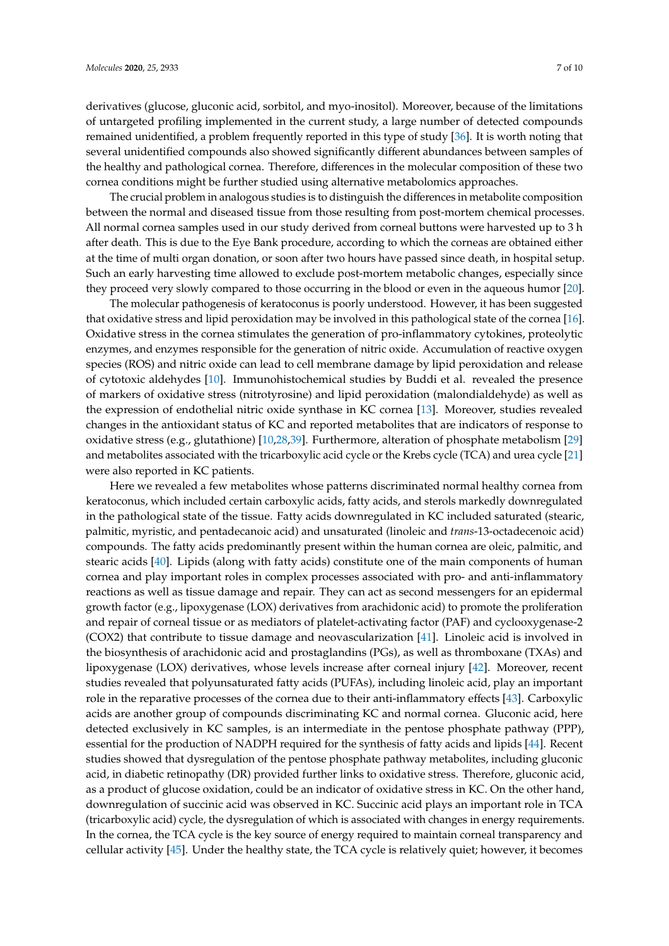derivatives (glucose, gluconic acid, sorbitol, and myo-inositol). Moreover, because of the limitations of untargeted profiling implemented in the current study, a large number of detected compounds remained unidentified, a problem frequently reported in this type of study [\[36\]](#page-9-4). It is worth noting that several unidentified compounds also showed significantly different abundances between samples of the healthy and pathological cornea. Therefore, differences in the molecular composition of these two cornea conditions might be further studied using alternative metabolomics approaches.

The crucial problem in analogous studies is to distinguish the differences in metabolite composition between the normal and diseased tissue from those resulting from post-mortem chemical processes. All normal cornea samples used in our study derived from corneal buttons were harvested up to 3 h after death. This is due to the Eye Bank procedure, according to which the corneas are obtained either at the time of multi organ donation, or soon after two hours have passed since death, in hospital setup. Such an early harvesting time allowed to exclude post-mortem metabolic changes, especially since they proceed very slowly compared to those occurring in the blood or even in the aqueous humor [\[20\]](#page-8-5).

The molecular pathogenesis of keratoconus is poorly understood. However, it has been suggested that oxidative stress and lipid peroxidation may be involved in this pathological state of the cornea [\[16\]](#page-8-2). Oxidative stress in the cornea stimulates the generation of pro-inflammatory cytokines, proteolytic enzymes, and enzymes responsible for the generation of nitric oxide. Accumulation of reactive oxygen species (ROS) and nitric oxide can lead to cell membrane damage by lipid peroxidation and release of cytotoxic aldehydes [\[10\]](#page-7-9). Immunohistochemical studies by Buddi et al. revealed the presence of markers of oxidative stress (nitrotyrosine) and lipid peroxidation (malondialdehyde) as well as the expression of endothelial nitric oxide synthase in KC cornea [\[13\]](#page-8-17). Moreover, studies revealed changes in the antioxidant status of KC and reported metabolites that are indicators of response to oxidative stress (e.g., glutathione) [\[10](#page-7-9)[,28](#page-8-13)[,39\]](#page-9-7). Furthermore, alteration of phosphate metabolism [\[29\]](#page-8-14) and metabolites associated with the tricarboxylic acid cycle or the Krebs cycle (TCA) and urea cycle [\[21\]](#page-8-6) were also reported in KC patients.

Here we revealed a few metabolites whose patterns discriminated normal healthy cornea from keratoconus, which included certain carboxylic acids, fatty acids, and sterols markedly downregulated in the pathological state of the tissue. Fatty acids downregulated in KC included saturated (stearic, palmitic, myristic, and pentadecanoic acid) and unsaturated (linoleic and *trans*-13-octadecenoic acid) compounds. The fatty acids predominantly present within the human cornea are oleic, palmitic, and stearic acids [\[40\]](#page-9-8). Lipids (along with fatty acids) constitute one of the main components of human cornea and play important roles in complex processes associated with pro- and anti-inflammatory reactions as well as tissue damage and repair. They can act as second messengers for an epidermal growth factor (e.g., lipoxygenase (LOX) derivatives from arachidonic acid) to promote the proliferation and repair of corneal tissue or as mediators of platelet-activating factor (PAF) and cyclooxygenase-2 (COX2) that contribute to tissue damage and neovascularization [\[41\]](#page-9-9). Linoleic acid is involved in the biosynthesis of arachidonic acid and prostaglandins (PGs), as well as thromboxane (TXAs) and lipoxygenase (LOX) derivatives, whose levels increase after corneal injury [\[42\]](#page-9-10). Moreover, recent studies revealed that polyunsaturated fatty acids (PUFAs), including linoleic acid, play an important role in the reparative processes of the cornea due to their anti-inflammatory effects [\[43\]](#page-9-11). Carboxylic acids are another group of compounds discriminating KC and normal cornea. Gluconic acid, here detected exclusively in KC samples, is an intermediate in the pentose phosphate pathway (PPP), essential for the production of NADPH required for the synthesis of fatty acids and lipids [\[44\]](#page-9-12). Recent studies showed that dysregulation of the pentose phosphate pathway metabolites, including gluconic acid, in diabetic retinopathy (DR) provided further links to oxidative stress. Therefore, gluconic acid, as a product of glucose oxidation, could be an indicator of oxidative stress in KC. On the other hand, downregulation of succinic acid was observed in KC. Succinic acid plays an important role in TCA (tricarboxylic acid) cycle, the dysregulation of which is associated with changes in energy requirements. In the cornea, the TCA cycle is the key source of energy required to maintain corneal transparency and cellular activity [\[45\]](#page-9-13). Under the healthy state, the TCA cycle is relatively quiet; however, it becomes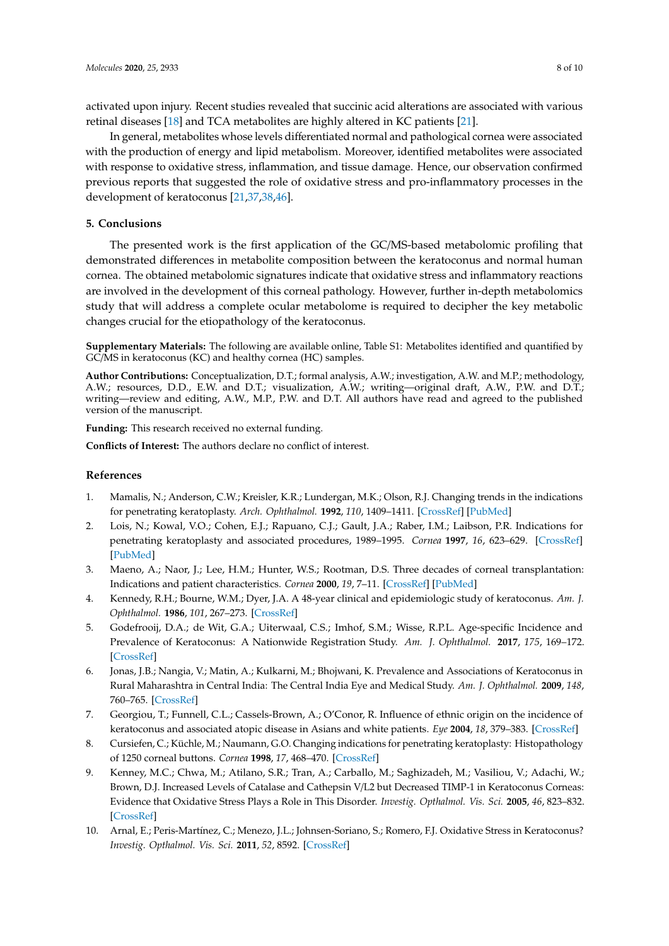activated upon injury. Recent studies revealed that succinic acid alterations are associated with various retinal diseases [\[18\]](#page-8-18) and TCA metabolites are highly altered in KC patients [\[21\]](#page-8-6).

In general, metabolites whose levels differentiated normal and pathological cornea were associated with the production of energy and lipid metabolism. Moreover, identified metabolites were associated with response to oxidative stress, inflammation, and tissue damage. Hence, our observation confirmed previous reports that suggested the role of oxidative stress and pro-inflammatory processes in the development of keratoconus [\[21,](#page-8-6)[37,](#page-9-5)[38](#page-9-6)[,46\]](#page-9-14).

## **5. Conclusions**

The presented work is the first application of the GC/MS-based metabolomic profiling that demonstrated differences in metabolite composition between the keratoconus and normal human cornea. The obtained metabolomic signatures indicate that oxidative stress and inflammatory reactions are involved in the development of this corneal pathology. However, further in-depth metabolomics study that will address a complete ocular metabolome is required to decipher the key metabolic changes crucial for the etiopathology of the keratoconus.

**Supplementary Materials:** The following are available online, Table S1: Metabolites identified and quantified by GC/MS in keratoconus (KC) and healthy cornea (HC) samples.

**Author Contributions:** Conceptualization, D.T.; formal analysis, A.W.; investigation, A.W. and M.P.; methodology, A.W.; resources, D.D., E.W. and D.T.; visualization, A.W.; writing—original draft, A.W., P.W. and D.T.; writing—review and editing, A.W., M.P., P.W. and D.T. All authors have read and agreed to the published version of the manuscript.

**Funding:** This research received no external funding.

**Conflicts of Interest:** The authors declare no conflict of interest.

## **References**

- <span id="page-7-0"></span>1. Mamalis, N.; Anderson, C.W.; Kreisler, K.R.; Lundergan, M.K.; Olson, R.J. Changing trends in the indications for penetrating keratoplasty. *Arch. Ophthalmol.* **1992**, *110*, 1409–1411. [\[CrossRef\]](http://dx.doi.org/10.1001/archopht.1992.01080220071023) [\[PubMed\]](http://www.ncbi.nlm.nih.gov/pubmed/1417539)
- <span id="page-7-6"></span>2. Lois, N.; Kowal, V.O.; Cohen, E.J.; Rapuano, C.J.; Gault, J.A.; Raber, I.M.; Laibson, P.R. Indications for penetrating keratoplasty and associated procedures, 1989–1995. *Cornea* **1997**, *16*, 623–629. [\[CrossRef\]](http://dx.doi.org/10.1097/00003226-199711000-00004) [\[PubMed\]](http://www.ncbi.nlm.nih.gov/pubmed/9395870)
- <span id="page-7-1"></span>3. Maeno, A.; Naor, J.; Lee, H.M.; Hunter, W.S.; Rootman, D.S. Three decades of corneal transplantation: Indications and patient characteristics. *Cornea* **2000**, *19*, 7–11. [\[CrossRef\]](http://dx.doi.org/10.1097/00003226-200001000-00002) [\[PubMed\]](http://www.ncbi.nlm.nih.gov/pubmed/10632000)
- <span id="page-7-2"></span>4. Kennedy, R.H.; Bourne, W.M.; Dyer, J.A. A 48-year clinical and epidemiologic study of keratoconus. *Am. J. Ophthalmol.* **1986**, *101*, 267–273. [\[CrossRef\]](http://dx.doi.org/10.1016/0002-9394(86)90817-2)
- <span id="page-7-3"></span>5. Godefrooij, D.A.; de Wit, G.A.; Uiterwaal, C.S.; Imhof, S.M.; Wisse, R.P.L. Age-specific Incidence and Prevalence of Keratoconus: A Nationwide Registration Study. *Am. J. Ophthalmol.* **2017**, *175*, 169–172. [\[CrossRef\]](http://dx.doi.org/10.1016/j.ajo.2016.12.015)
- <span id="page-7-4"></span>6. Jonas, J.B.; Nangia, V.; Matin, A.; Kulkarni, M.; Bhojwani, K. Prevalence and Associations of Keratoconus in Rural Maharashtra in Central India: The Central India Eye and Medical Study. *Am. J. Ophthalmol.* **2009**, *148*, 760–765. [\[CrossRef\]](http://dx.doi.org/10.1016/j.ajo.2009.06.024)
- <span id="page-7-5"></span>7. Georgiou, T.; Funnell, C.L.; Cassels-Brown, A.; O'Conor, R. Influence of ethnic origin on the incidence of keratoconus and associated atopic disease in Asians and white patients. *Eye* **2004**, *18*, 379–383. [\[CrossRef\]](http://dx.doi.org/10.1038/sj.eye.6700652)
- <span id="page-7-7"></span>8. Cursiefen, C.; Küchle, M.; Naumann, G.O. Changing indications for penetrating keratoplasty: Histopathology of 1250 corneal buttons. *Cornea* **1998**, *17*, 468–470. [\[CrossRef\]](http://dx.doi.org/10.1097/00003226-199809000-00002)
- <span id="page-7-8"></span>9. Kenney, M.C.; Chwa, M.; Atilano, S.R.; Tran, A.; Carballo, M.; Saghizadeh, M.; Vasiliou, V.; Adachi, W.; Brown, D.J. Increased Levels of Catalase and Cathepsin V/L2 but Decreased TIMP-1 in Keratoconus Corneas: Evidence that Oxidative Stress Plays a Role in This Disorder. *Investig. Opthalmol. Vis. Sci.* **2005**, *46*, 823–832. [\[CrossRef\]](http://dx.doi.org/10.1167/iovs.04-0549)
- <span id="page-7-9"></span>10. Arnal, E.; Peris-Martínez, C.; Menezo, J.L.; Johnsen-Soriano, S.; Romero, F.J. Oxidative Stress in Keratoconus? *Investig. Opthalmol. Vis. Sci.* **2011**, *52*, 8592. [\[CrossRef\]](http://dx.doi.org/10.1167/iovs.11-7732)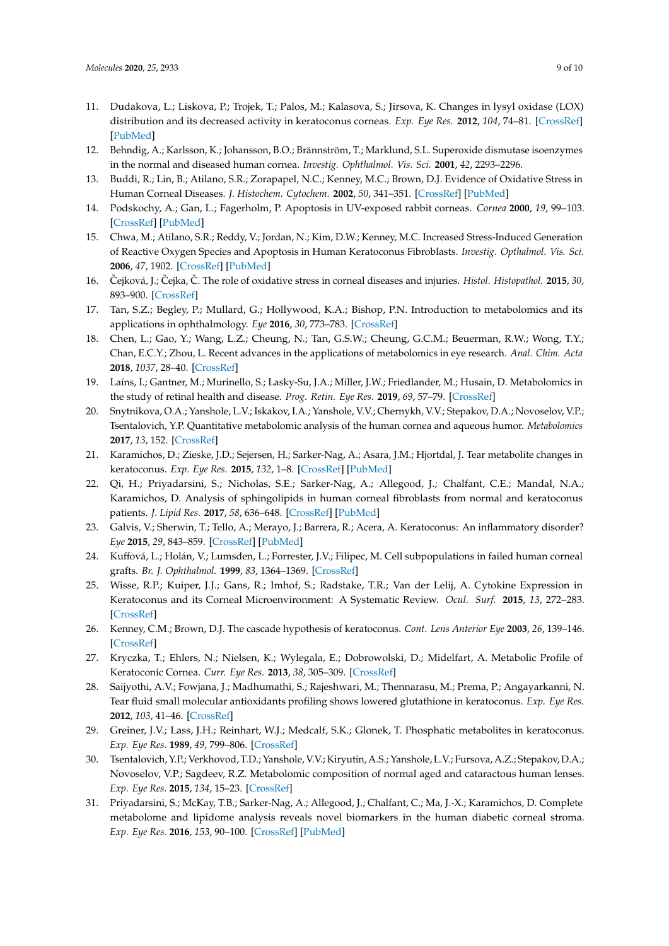- <span id="page-8-0"></span>11. Dudakova, L.; Liskova, P.; Trojek, T.; Palos, M.; Kalasova, S.; Jirsova, K. Changes in lysyl oxidase (LOX) distribution and its decreased activity in keratoconus corneas. *Exp. Eye Res.* **2012**, *104*, 74–81. [\[CrossRef\]](http://dx.doi.org/10.1016/j.exer.2012.09.005) [\[PubMed\]](http://www.ncbi.nlm.nih.gov/pubmed/23041260)
- <span id="page-8-1"></span>12. Behndig, A.; Karlsson, K.; Johansson, B.O.; Brännström, T.; Marklund, S.L. Superoxide dismutase isoenzymes in the normal and diseased human cornea. *Investig. Ophthalmol. Vis. Sci.* **2001**, *42*, 2293–2296.
- <span id="page-8-17"></span>13. Buddi, R.; Lin, B.; Atilano, S.R.; Zorapapel, N.C.; Kenney, M.C.; Brown, D.J. Evidence of Oxidative Stress in Human Corneal Diseases. *J. Histochem. Cytochem.* **2002**, *50*, 341–351. [\[CrossRef\]](http://dx.doi.org/10.1177/002215540205000306) [\[PubMed\]](http://www.ncbi.nlm.nih.gov/pubmed/11850437)
- 14. Podskochy, A.; Gan, L.; Fagerholm, P. Apoptosis in UV-exposed rabbit corneas. *Cornea* **2000**, *19*, 99–103. [\[CrossRef\]](http://dx.doi.org/10.1097/00003226-200001000-00019) [\[PubMed\]](http://www.ncbi.nlm.nih.gov/pubmed/10632017)
- 15. Chwa, M.; Atilano, S.R.; Reddy, V.; Jordan, N.; Kim, D.W.; Kenney, M.C. Increased Stress-Induced Generation of Reactive Oxygen Species and Apoptosis in Human Keratoconus Fibroblasts. *Investig. Opthalmol. Vis. Sci.* **2006**, *47*, 1902. [\[CrossRef\]](http://dx.doi.org/10.1167/iovs.05-0828) [\[PubMed\]](http://www.ncbi.nlm.nih.gov/pubmed/16638997)
- <span id="page-8-2"></span>16. Čejková, J.; Čejka, Č. The role of oxidative stress in corneal diseases and injuries. *Histol. Histopathol.* **2015**, 30, 893–900. [\[CrossRef\]](http://dx.doi.org/10.14670/HH-11-611)
- <span id="page-8-3"></span>17. Tan, S.Z.; Begley, P.; Mullard, G.; Hollywood, K.A.; Bishop, P.N. Introduction to metabolomics and its applications in ophthalmology. *Eye* **2016**, *30*, 773–783. [\[CrossRef\]](http://dx.doi.org/10.1038/eye.2016.37)
- <span id="page-8-18"></span>18. Chen, L.; Gao, Y.; Wang, L.Z.; Cheung, N.; Tan, G.S.W.; Cheung, G.C.M.; Beuerman, R.W.; Wong, T.Y.; Chan, E.C.Y.; Zhou, L. Recent advances in the applications of metabolomics in eye research. *Anal. Chim. Acta* **2018**, *1037*, 28–40. [\[CrossRef\]](http://dx.doi.org/10.1016/j.aca.2018.01.060)
- <span id="page-8-4"></span>19. Laíns, I.; Gantner, M.; Murinello, S.; Lasky-Su, J.A.; Miller, J.W.; Friedlander, M.; Husain, D. Metabolomics in the study of retinal health and disease. *Prog. Retin. Eye Res.* **2019**, *69*, 57–79. [\[CrossRef\]](http://dx.doi.org/10.1016/j.preteyeres.2018.11.002)
- <span id="page-8-5"></span>20. Snytnikova, O.A.; Yanshole, L.V.; Iskakov, I.A.; Yanshole, V.V.; Chernykh, V.V.; Stepakov, D.A.; Novoselov, V.P.; Tsentalovich, Y.P. Quantitative metabolomic analysis of the human cornea and aqueous humor. *Metabolomics* **2017**, *13*, 152. [\[CrossRef\]](http://dx.doi.org/10.1007/s11306-017-1281-0)
- <span id="page-8-6"></span>21. Karamichos, D.; Zieske, J.D.; Sejersen, H.; Sarker-Nag, A.; Asara, J.M.; Hjortdal, J. Tear metabolite changes in keratoconus. *Exp. Eye Res.* **2015**, *132*, 1–8. [\[CrossRef\]](http://dx.doi.org/10.1016/j.exer.2015.01.007) [\[PubMed\]](http://www.ncbi.nlm.nih.gov/pubmed/25579606)
- <span id="page-8-7"></span>22. Qi, H.; Priyadarsini, S.; Nicholas, S.E.; Sarker-Nag, A.; Allegood, J.; Chalfant, C.E.; Mandal, N.A.; Karamichos, D. Analysis of sphingolipids in human corneal fibroblasts from normal and keratoconus patients. *J. Lipid Res.* **2017**, *58*, 636–648. [\[CrossRef\]](http://dx.doi.org/10.1194/jlr.M067264) [\[PubMed\]](http://www.ncbi.nlm.nih.gov/pubmed/28188148)
- <span id="page-8-8"></span>23. Galvis, V.; Sherwin, T.; Tello, A.; Merayo, J.; Barrera, R.; Acera, A. Keratoconus: An inflammatory disorder? *Eye* **2015**, *29*, 843–859. [\[CrossRef\]](http://dx.doi.org/10.1038/eye.2015.63) [\[PubMed\]](http://www.ncbi.nlm.nih.gov/pubmed/25931166)
- <span id="page-8-9"></span>24. Kuffová, L.; Holán, V.; Lumsden, L.; Forrester, J.V.; Filipec, M. Cell subpopulations in failed human corneal grafts. *Br. J. Ophthalmol.* **1999**, *83*, 1364–1369. [\[CrossRef\]](http://dx.doi.org/10.1136/bjo.83.12.1364)
- <span id="page-8-10"></span>25. Wisse, R.P.; Kuiper, J.J.; Gans, R.; Imhof, S.; Radstake, T.R.; Van der Lelij, A. Cytokine Expression in Keratoconus and its Corneal Microenvironment: A Systematic Review. *Ocul. Surf.* **2015**, *13*, 272–283. [\[CrossRef\]](http://dx.doi.org/10.1016/j.jtos.2015.04.006)
- <span id="page-8-11"></span>26. Kenney, C.M.; Brown, D.J. The cascade hypothesis of keratoconus. *Cont. Lens Anterior Eye* **2003**, *26*, 139–146. [\[CrossRef\]](http://dx.doi.org/10.1016/S1367-0484(03)00022-5)
- <span id="page-8-12"></span>27. Kryczka, T.; Ehlers, N.; Nielsen, K.; Wylegala, E.; Dobrowolski, D.; Midelfart, A. Metabolic Profile of Keratoconic Cornea. *Curr. Eye Res.* **2013**, *38*, 305–309. [\[CrossRef\]](http://dx.doi.org/10.3109/02713683.2012.754904)
- <span id="page-8-13"></span>28. Saijyothi, A.V.; Fowjana, J.; Madhumathi, S.; Rajeshwari, M.; Thennarasu, M.; Prema, P.; Angayarkanni, N. Tear fluid small molecular antioxidants profiling shows lowered glutathione in keratoconus. *Exp. Eye Res.* **2012**, *103*, 41–46. [\[CrossRef\]](http://dx.doi.org/10.1016/j.exer.2012.07.010)
- <span id="page-8-14"></span>29. Greiner, J.V.; Lass, J.H.; Reinhart, W.J.; Medcalf, S.K.; Glonek, T. Phosphatic metabolites in keratoconus. *Exp. Eye Res.* **1989**, *49*, 799–806. [\[CrossRef\]](http://dx.doi.org/10.1016/S0014-4835(89)80040-5)
- <span id="page-8-15"></span>30. Tsentalovich, Y.P.; Verkhovod, T.D.; Yanshole, V.V.; Kiryutin, A.S.; Yanshole, L.V.; Fursova, A.Z.; Stepakov, D.A.; Novoselov, V.P.; Sagdeev, R.Z. Metabolomic composition of normal aged and cataractous human lenses. *Exp. Eye Res.* **2015**, *134*, 15–23. [\[CrossRef\]](http://dx.doi.org/10.1016/j.exer.2015.03.008)
- <span id="page-8-16"></span>31. Priyadarsini, S.; McKay, T.B.; Sarker-Nag, A.; Allegood, J.; Chalfant, C.; Ma, J.-X.; Karamichos, D. Complete metabolome and lipidome analysis reveals novel biomarkers in the human diabetic corneal stroma. *Exp. Eye Res.* **2016**, *153*, 90–100. [\[CrossRef\]](http://dx.doi.org/10.1016/j.exer.2016.10.010) [\[PubMed\]](http://www.ncbi.nlm.nih.gov/pubmed/27742548)